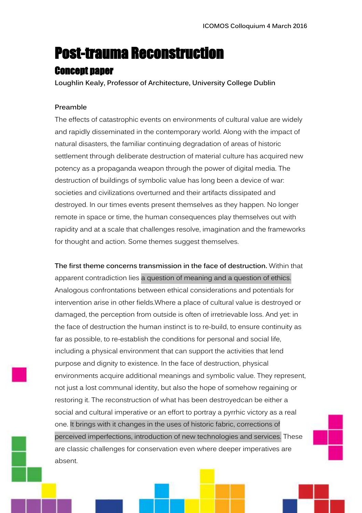# Post-trauma Reconstruction

# Concept paper

**Loughlin Kealy, Professor of Architecture, University College Dublin**

# **Preamble**

The effects of catastrophic events on environments of cultural value are widely and rapidly disseminated in the contemporary world. Along with the impact of natural disasters, the familiar continuing degradation of areas of historic settlement through deliberate destruction of material culture has acquired new potency as a propaganda weapon through the power of digital media. The destruction of buildings of symbolic value has long been a device of war: societies and civilizations overturned and their artifacts dissipated and destroyed. In our times events present themselves as they happen. No longer remote in space or time, the human consequences play themselves out with rapidity and at a scale that challenges resolve, imagination and the frameworks for thought and action. Some themes suggest themselves.

**The first theme concerns transmission in the face of destruction.** Within that apparent contradiction lies a question of meaning and a question of ethics. Analogous confrontations between ethical considerations and potentials for intervention arise in other fields.Where a place of cultural value is destroyed or damaged, the perception from outside is often of irretrievable loss. And yet: in the face of destruction the human instinct is to re-build, to ensure continuity as far as possible, to re-establish the conditions for personal and social life, including a physical environment that can support the activities that lend purpose and dignity to existence. In the face of destruction, physical environments acquire additional meanings and symbolic value. They represent, not just a lost communal identity, but also the hope of somehow regaining or restoring it. The reconstruction of what has been destroyedcan be either a social and cultural imperative or an effort to portray a pyrrhic victory as a real one. It brings with it changes in the uses of historic fabric, corrections of perceived imperfections, introduction of new technologies and services. These are classic challenges for conservation even where deeper imperatives are absent.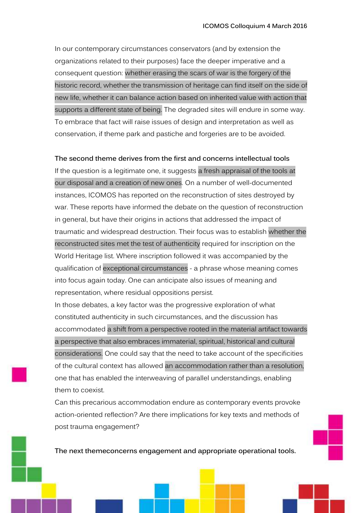In our contemporary circumstances conservators (and by extension the organizations related to their purposes) face the deeper imperative and a consequent question: whether erasing the scars of war is the forgery of the historic record, whether the transmission of heritage can find itself on the side of new life, whether it can balance action based on inherited value with action that supports a different state of being. The degraded sites will endure in some way. To embrace that fact will raise issues of design and interpretation as well as conservation, if theme park and pastiche and forgeries are to be avoided.

## **The second theme derives from the first and concerns intellectual tools**

If the question is a legitimate one, it suggests a fresh appraisal of the tools at our disposal and a creation of new ones. On a number of well-documented instances, ICOMOS has reported on the reconstruction of sites destroyed by war. These reports have informed the debate on the question of reconstruction in general, but have their origins in actions that addressed the impact of traumatic and widespread destruction. Their focus was to establish whether the reconstructed sites met the test of authenticity required for inscription on the World Heritage list. Where inscription followed it was accompanied by the qualification of exceptional circumstances - a phrase whose meaning comes into focus again today. One can anticipate also issues of meaning and representation, where residual oppositions persist.

In those debates, a key factor was the progressive exploration of what constituted authenticity in such circumstances, and the discussion has accommodated a shift from a perspective rooted in the material artifact towards a perspective that also embraces immaterial, spiritual, historical and cultural considerations. One could say that the need to take account of the specificities of the cultural context has allowed an accommodation rather than a resolution, one that has enabled the interweaving of parallel understandings, enabling them to coexist.

Can this precarious accommodation endure as contemporary events provoke action-oriented reflection? Are there implications for key texts and methods of post trauma engagement?

**The next themeconcerns engagement and appropriate operational tools.**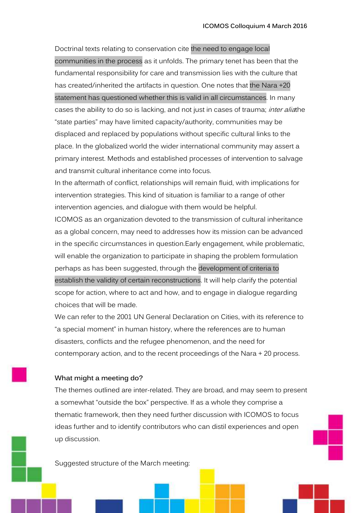Doctrinal texts relating to conservation cite the need to engage local communities in the process as it unfolds. The primary tenet has been that the fundamental responsibility for care and transmission lies with the culture that has created/inherited the artifacts in question. One notes that the Nara +20 statement has questioned whether this is valid in all circumstances. In many cases the ability to do so is lacking, and not just in cases of trauma; *inter alia*the "state parties" may have limited capacity/authority, communities may be displaced and replaced by populations without specific cultural links to the place. In the globalized world the wider international community may assert a primary interest. Methods and established processes of intervention to salvage and transmit cultural inheritance come into focus.

In the aftermath of conflict, relationships will remain fluid, with implications for intervention strategies. This kind of situation is familiar to a range of other intervention agencies, and dialogue with them would be helpful.

ICOMOS as an organization devoted to the transmission of cultural inheritance as a global concern, may need to addresses how its mission can be advanced in the specific circumstances in question.Early engagement, while problematic, will enable the organization to participate in shaping the problem formulation perhaps as has been suggested, through the development of criteria to establish the validity of certain reconstructions. It will help clarify the potential scope for action, where to act and how, and to engage in dialogue regarding choices that will be made.

We can refer to the 2001 UN General Declaration on Cities, with its reference to "a special moment" in human history, where the references are to human disasters, conflicts and the refugee phenomenon, and the need for contemporary action, and to the recent proceedings of the Nara + 20 process.

### **What might a meeting do?**

The themes outlined are inter-related. They are broad, and may seem to present a somewhat "outside the box" perspective. If as a whole they comprise a thematic framework, then they need further discussion with ICOMOS to focus ideas further and to identify contributors who can distil experiences and open up discussion.

Suggested structure of the March meeting: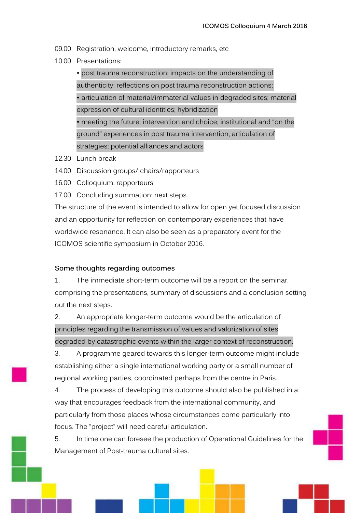- 09.00 Registration, welcome, introductory remarks, etc
- 10.00 Presentations:

• post trauma reconstruction: impacts on the understanding of authenticity; reflections on post trauma reconstruction actions; • articulation of material/immaterial values in degraded sites; material expression of cultural identities; hybridization • meeting the future: intervention and choice; institutional and "on the ground" experiences in post trauma intervention; articulation of strategies; potential alliances and actors

- 12.30 Lunch break
- 14.00 Discussion groups/ chairs/rapporteurs
- 16.00 Colloquium: rapporteurs
- 17.00 Concluding summation: next steps

The structure of the event is intended to allow for open yet focused discussion and an opportunity for reflection on contemporary experiences that have worldwide resonance. It can also be seen as a preparatory event for the ICOMOS scientific symposium in October 2016.

### **Some thoughts regarding outcomes**

1. The immediate short-term outcome will be a report on the seminar, comprising the presentations, summary of discussions and a conclusion setting out the next steps.

2. An appropriate longer-term outcome would be the articulation of principles regarding the transmission of values and valorization of sites degraded by catastrophic events within the larger context of reconstruction.

3. A programme geared towards this longer-term outcome might include establishing either a single international working party or a small number of regional working parties, coordinated perhaps from the centre in Paris.

4. The process of developing this outcome should also be published in a way that encourages feedback from the international community, and particularly from those places whose circumstances come particularly into focus. The "project" will need careful articulation.

5. In time one can foresee the production of Operational Guidelines for the Management of Post-trauma cultural sites.